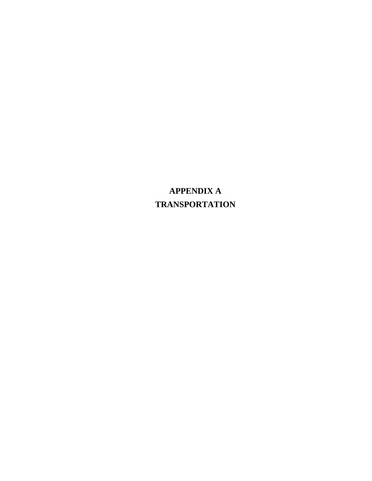**APPENDIX A TRANSPORTATION**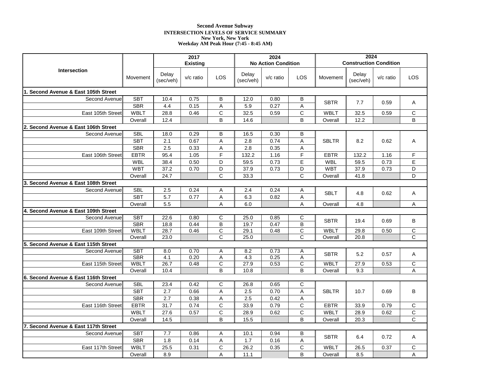# **Second Avenue Subway INTERSECTION LEVELS OF SERVICE SUMMARY New York, New York Weekday AM Peak Hour (7:45 - 8:45 AM)**

| <b>Construction Condition</b><br><b>No Action Condition</b><br><b>Intersection</b><br>Delay<br>Delay<br>Delay<br>LOS<br><b>LOS</b><br>LOS<br>v/c ratio<br>$v/c$ ratio<br>Movement<br>$v/c$ ratio<br>Movement<br>(sec/veh)<br>(sec/veh)<br>(sec/veh)<br>1. Second Avenue & East 105th Street<br><b>SBT</b><br>Second Avenue<br>10.4<br>0.75<br>В<br>12.0<br>0.80<br>B<br><b>SBTR</b><br>7.7<br>0.59<br>Α<br><b>SBR</b><br>0.15<br>A<br>5.9<br>0.27<br>Α<br>4.4<br>C<br>$\mathsf{C}$<br><b>WBLT</b><br>32.5<br>28.8<br>0.59<br><b>WBLT</b><br>32.5<br>0.59<br>С<br>East 105th Street<br>0.46<br>B<br>B<br>B<br>14.6<br>12.2<br>Overall<br>12.4<br>Overall<br>2. Second Avenue & East 106th Street<br><b>SBL</b><br>0.29<br>B<br>B<br>Second Avenue<br>18.0<br>16.5<br>0.30<br><b>SBT</b><br>2.1<br>0.67<br>A<br>2.8<br>0.74<br>A<br><b>SBLTR</b><br>8.2<br>0.62<br>Α<br><b>SBR</b><br>2.5<br>$\overline{2.8}$<br>0.33<br>A<br>0.35<br>A<br>$\overline{F}$<br>F<br><b>EBTR</b><br>95.4<br>132.2<br>132.2<br>1.16<br>F<br>East 106th Street<br>1.05<br>1.16<br><b>EBTR</b> |            |      | 2017            |   |      | 2024 |   |     | 2024 |      |   |  |
|------------------------------------------------------------------------------------------------------------------------------------------------------------------------------------------------------------------------------------------------------------------------------------------------------------------------------------------------------------------------------------------------------------------------------------------------------------------------------------------------------------------------------------------------------------------------------------------------------------------------------------------------------------------------------------------------------------------------------------------------------------------------------------------------------------------------------------------------------------------------------------------------------------------------------------------------------------------------------------------------------------------------------------------------------------------------|------------|------|-----------------|---|------|------|---|-----|------|------|---|--|
|                                                                                                                                                                                                                                                                                                                                                                                                                                                                                                                                                                                                                                                                                                                                                                                                                                                                                                                                                                                                                                                                        |            |      | <b>Existing</b> |   |      |      |   |     |      |      |   |  |
|                                                                                                                                                                                                                                                                                                                                                                                                                                                                                                                                                                                                                                                                                                                                                                                                                                                                                                                                                                                                                                                                        |            |      |                 |   |      |      |   |     |      |      |   |  |
|                                                                                                                                                                                                                                                                                                                                                                                                                                                                                                                                                                                                                                                                                                                                                                                                                                                                                                                                                                                                                                                                        |            |      |                 |   |      |      |   |     |      |      |   |  |
|                                                                                                                                                                                                                                                                                                                                                                                                                                                                                                                                                                                                                                                                                                                                                                                                                                                                                                                                                                                                                                                                        |            |      |                 |   |      |      |   |     |      |      |   |  |
|                                                                                                                                                                                                                                                                                                                                                                                                                                                                                                                                                                                                                                                                                                                                                                                                                                                                                                                                                                                                                                                                        |            |      |                 |   |      |      |   |     |      |      |   |  |
|                                                                                                                                                                                                                                                                                                                                                                                                                                                                                                                                                                                                                                                                                                                                                                                                                                                                                                                                                                                                                                                                        |            |      |                 |   |      |      |   |     |      |      |   |  |
|                                                                                                                                                                                                                                                                                                                                                                                                                                                                                                                                                                                                                                                                                                                                                                                                                                                                                                                                                                                                                                                                        |            |      |                 |   |      |      |   |     |      |      |   |  |
|                                                                                                                                                                                                                                                                                                                                                                                                                                                                                                                                                                                                                                                                                                                                                                                                                                                                                                                                                                                                                                                                        |            |      |                 |   |      |      |   |     |      |      |   |  |
|                                                                                                                                                                                                                                                                                                                                                                                                                                                                                                                                                                                                                                                                                                                                                                                                                                                                                                                                                                                                                                                                        |            |      |                 |   |      |      |   |     |      |      |   |  |
|                                                                                                                                                                                                                                                                                                                                                                                                                                                                                                                                                                                                                                                                                                                                                                                                                                                                                                                                                                                                                                                                        |            |      |                 |   |      |      |   |     |      |      |   |  |
|                                                                                                                                                                                                                                                                                                                                                                                                                                                                                                                                                                                                                                                                                                                                                                                                                                                                                                                                                                                                                                                                        |            |      |                 |   |      |      |   |     |      |      |   |  |
|                                                                                                                                                                                                                                                                                                                                                                                                                                                                                                                                                                                                                                                                                                                                                                                                                                                                                                                                                                                                                                                                        |            |      |                 |   |      |      |   |     |      |      |   |  |
|                                                                                                                                                                                                                                                                                                                                                                                                                                                                                                                                                                                                                                                                                                                                                                                                                                                                                                                                                                                                                                                                        | <b>WBL</b> | 38.4 | 0.50            | D | 59.5 | 0.73 | E | WBL | 59.5 | 0.73 | E |  |
| D<br><b>WBT</b><br>37.2<br>D<br>37.9<br><b>WBT</b><br>0.73<br>D<br>0.70<br>0.73<br>37.9                                                                                                                                                                                                                                                                                                                                                                                                                                                                                                                                                                                                                                                                                                                                                                                                                                                                                                                                                                                |            |      |                 |   |      |      |   |     |      |      |   |  |
| $\overline{C}$<br>$\overline{\text{c}}$<br>D<br>24.7<br>33.3<br>Overall<br>41.8<br>Overall                                                                                                                                                                                                                                                                                                                                                                                                                                                                                                                                                                                                                                                                                                                                                                                                                                                                                                                                                                             |            |      |                 |   |      |      |   |     |      |      |   |  |
| 3. Second Avenue & East 108th Street                                                                                                                                                                                                                                                                                                                                                                                                                                                                                                                                                                                                                                                                                                                                                                                                                                                                                                                                                                                                                                   |            |      |                 |   |      |      |   |     |      |      |   |  |
| <b>SBL</b><br>2.5<br>0.24<br>0.24<br>Second Avenue<br>Α<br>2.4<br>Α<br><b>SBLT</b><br>4.8<br>0.62<br>Α                                                                                                                                                                                                                                                                                                                                                                                                                                                                                                                                                                                                                                                                                                                                                                                                                                                                                                                                                                 |            |      |                 |   |      |      |   |     |      |      |   |  |
| <b>SBT</b><br>5.7<br>0.77<br>6.3<br>A<br>0.82<br>A                                                                                                                                                                                                                                                                                                                                                                                                                                                                                                                                                                                                                                                                                                                                                                                                                                                                                                                                                                                                                     |            |      |                 |   |      |      |   |     |      |      |   |  |
| 5.5<br>A<br>6.0<br>A<br>4.8<br>A<br>Overall<br>Overall                                                                                                                                                                                                                                                                                                                                                                                                                                                                                                                                                                                                                                                                                                                                                                                                                                                                                                                                                                                                                 |            |      |                 |   |      |      |   |     |      |      |   |  |
| 4. Second Avenue & East 109th Street                                                                                                                                                                                                                                                                                                                                                                                                                                                                                                                                                                                                                                                                                                                                                                                                                                                                                                                                                                                                                                   |            |      |                 |   |      |      |   |     |      |      |   |  |
| <b>SBT</b><br>$\overline{C}$<br>Second Avenue<br>22.6<br>0.80<br>25.0<br>0.85<br>C<br>B<br><b>SBTR</b><br>19.4<br>0.69                                                                                                                                                                                                                                                                                                                                                                                                                                                                                                                                                                                                                                                                                                                                                                                                                                                                                                                                                 |            |      |                 |   |      |      |   |     |      |      |   |  |
| $\overline{B}$<br><b>SBR</b><br>B<br>19.7<br>18.8<br>0.44<br>0.47                                                                                                                                                                                                                                                                                                                                                                                                                                                                                                                                                                                                                                                                                                                                                                                                                                                                                                                                                                                                      |            |      |                 |   |      |      |   |     |      |      |   |  |
| C<br>$\overline{\text{c}}$<br><b>WBLT</b><br>29.1<br><b>WBLT</b><br>0.50<br>С<br>East 109th Street<br>28.7<br>0.46<br>0.48<br>29.8                                                                                                                                                                                                                                                                                                                                                                                                                                                                                                                                                                                                                                                                                                                                                                                                                                                                                                                                     |            |      |                 |   |      |      |   |     |      |      |   |  |
| Ċ<br>C<br>C<br>23.0<br>25.0<br>20.8<br>Overall<br>Overall                                                                                                                                                                                                                                                                                                                                                                                                                                                                                                                                                                                                                                                                                                                                                                                                                                                                                                                                                                                                              |            |      |                 |   |      |      |   |     |      |      |   |  |
| Second Avenue & East 115th Street<br>5.                                                                                                                                                                                                                                                                                                                                                                                                                                                                                                                                                                                                                                                                                                                                                                                                                                                                                                                                                                                                                                |            |      |                 |   |      |      |   |     |      |      |   |  |
| <b>SBT</b><br>8.0<br>0.70<br>8.2<br>0.73<br>Second Avenue<br>Α<br>A<br><b>SBTR</b><br>0.57<br>5.2<br>Α<br><b>SBR</b><br>4.1<br>4.3                                                                                                                                                                                                                                                                                                                                                                                                                                                                                                                                                                                                                                                                                                                                                                                                                                                                                                                                     |            |      |                 |   |      |      |   |     |      |      |   |  |
| $\overline{A}$<br>0.20<br>A<br>0.25<br><b>WBLT</b><br>26.7<br>C<br>27.9<br>$\overline{C}$<br>WBLT<br>0.53<br>27.9<br>0.53<br>С<br>East 115th Street<br>0.48                                                                                                                                                                                                                                                                                                                                                                                                                                                                                                                                                                                                                                                                                                                                                                                                                                                                                                            |            |      |                 |   |      |      |   |     |      |      |   |  |
| B<br>B<br>10.8<br>9.3<br>A<br>Overall<br>10.4<br>Overall                                                                                                                                                                                                                                                                                                                                                                                                                                                                                                                                                                                                                                                                                                                                                                                                                                                                                                                                                                                                               |            |      |                 |   |      |      |   |     |      |      |   |  |
| 6. Second Avenue & East 116th Street                                                                                                                                                                                                                                                                                                                                                                                                                                                                                                                                                                                                                                                                                                                                                                                                                                                                                                                                                                                                                                   |            |      |                 |   |      |      |   |     |      |      |   |  |
| <b>SBL</b><br>C<br>C<br>Second Avenue<br>23.4<br>0.42<br>26.8<br>0.65                                                                                                                                                                                                                                                                                                                                                                                                                                                                                                                                                                                                                                                                                                                                                                                                                                                                                                                                                                                                  |            |      |                 |   |      |      |   |     |      |      |   |  |
| <b>SBT</b><br>2.7<br>0.66<br>2.5<br>0.70<br>Α<br><b>SBLTR</b><br>0.69<br>В<br>A<br>10.7                                                                                                                                                                                                                                                                                                                                                                                                                                                                                                                                                                                                                                                                                                                                                                                                                                                                                                                                                                                |            |      |                 |   |      |      |   |     |      |      |   |  |
| <b>SBR</b><br>2.7<br>2.5<br>A<br>0.38<br>Α<br>0.42                                                                                                                                                                                                                                                                                                                                                                                                                                                                                                                                                                                                                                                                                                                                                                                                                                                                                                                                                                                                                     |            |      |                 |   |      |      |   |     |      |      |   |  |
| $\overline{C}$<br><b>EBTR</b><br>$\overline{31.7}$<br>C<br>33.9<br><b>EBTR</b><br>C<br>0.74<br>0.79<br>33.9<br>0.79<br>East 116th Street                                                                                                                                                                                                                                                                                                                                                                                                                                                                                                                                                                                                                                                                                                                                                                                                                                                                                                                               |            |      |                 |   |      |      |   |     |      |      |   |  |
| $\overline{C}$<br>C<br>C<br><b>WBLT</b><br>28.9<br><b>WBLT</b><br>27.6<br>0.57<br>0.62<br>28.9<br>0.62                                                                                                                                                                                                                                                                                                                                                                                                                                                                                                                                                                                                                                                                                                                                                                                                                                                                                                                                                                 |            |      |                 |   |      |      |   |     |      |      |   |  |
| B<br>C<br>B<br>14.5<br>15.5<br>Overall<br>Overall<br>20.3                                                                                                                                                                                                                                                                                                                                                                                                                                                                                                                                                                                                                                                                                                                                                                                                                                                                                                                                                                                                              |            |      |                 |   |      |      |   |     |      |      |   |  |
| Second Avenue & East 117th Street                                                                                                                                                                                                                                                                                                                                                                                                                                                                                                                                                                                                                                                                                                                                                                                                                                                                                                                                                                                                                                      |            |      |                 |   |      |      |   |     |      |      |   |  |
| <b>SBT</b><br>7.7<br>0.86<br>0.94<br>B<br>Second Avenue<br>Α<br>10.1                                                                                                                                                                                                                                                                                                                                                                                                                                                                                                                                                                                                                                                                                                                                                                                                                                                                                                                                                                                                   |            |      |                 |   |      |      |   |     |      |      |   |  |
| <b>SBTR</b><br>6.4<br>0.72<br>Α<br><b>SBR</b><br>0.14<br>1.7<br>1.8<br>Α<br>0.16<br>Α                                                                                                                                                                                                                                                                                                                                                                                                                                                                                                                                                                                                                                                                                                                                                                                                                                                                                                                                                                                  |            |      |                 |   |      |      |   |     |      |      |   |  |
| C<br>$\mathbf C$<br><b>WBLT</b><br>25.5<br>26.2<br><b>WBLT</b><br>0.37<br>C<br>East 117th Street<br>0.31<br>0.35<br>26.5                                                                                                                                                                                                                                                                                                                                                                                                                                                                                                                                                                                                                                                                                                                                                                                                                                                                                                                                               |            |      |                 |   |      |      |   |     |      |      |   |  |
| B<br>A<br>8.9<br>A<br>11.1<br>8.5<br>Overall<br>Overall                                                                                                                                                                                                                                                                                                                                                                                                                                                                                                                                                                                                                                                                                                                                                                                                                                                                                                                                                                                                                |            |      |                 |   |      |      |   |     |      |      |   |  |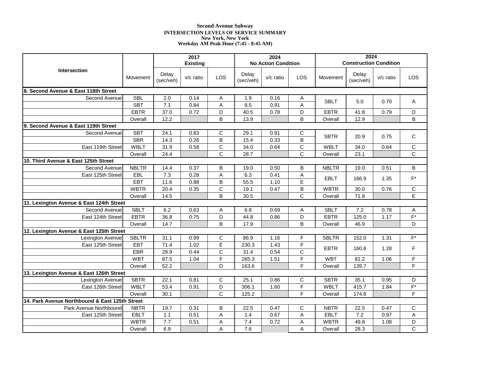# **Second Avenue Subway INTERSECTION LEVELS OF SERVICE SUMMARY New York, New York Weekday AM Peak Hour (7:45 - 8:45 AM)**

|                                                |              |                    | 2017            |                |                    | 2024                       |                       |              | 2024                          |             |                    |
|------------------------------------------------|--------------|--------------------|-----------------|----------------|--------------------|----------------------------|-----------------------|--------------|-------------------------------|-------------|--------------------|
|                                                |              |                    | <b>Existing</b> |                |                    | <b>No Action Condition</b> |                       |              | <b>Construction Condition</b> |             |                    |
| <b>Intersection</b>                            | Movement     | Delay<br>(sec/veh) | v/c ratio       | LOS            | Delay<br>(sec/veh) | $v/c$ ratio                | LOS                   | Movement     | Delay<br>(sec/veh)            | $v/c$ ratio | LOS                |
| 8. Second Avenue & East 118th Street           |              |                    |                 |                |                    |                            |                       |              |                               |             |                    |
| Second Avenue                                  | <b>SBL</b>   | 2.0                | 0.14            | Α              | 1.9                | 0.16                       | Α                     | <b>SBLT</b>  | 5.0                           | 0.70        | Α                  |
|                                                | <b>SBT</b>   | 7.1                | 0.84            | A              | 8.5                | 0.91                       | A                     |              |                               |             |                    |
|                                                | <b>EBTR</b>  | 37.0               | 0.72            | D              | 40.5               | 0.78                       | D                     | <b>EBTR</b>  | 41.8                          | 0.79        | D                  |
|                                                | Overall      | 12.2               |                 | В              | 13.9               |                            | B                     | Overall      | 12.9                          |             | В                  |
| 9. Second Avenue & East 119th Street           |              |                    |                 |                |                    |                            |                       |              |                               |             |                    |
| Second Avenue                                  | <b>SBT</b>   | 24.1               | 0.83            | C              | 29.1               | 0.91                       | C                     | <b>SBTR</b>  | 20.9                          | 0.75        | C                  |
|                                                | <b>SBR</b>   | 14.3               | 0.26            | $\sf B$        | 15.4               | 0.33                       | $\overline{B}$        |              |                               |             |                    |
| East 119th Street                              | <b>WBLT</b>  | 31.9               | 0.58            | $\mathsf C$    | 34.0               | 0.64                       | $\mathsf C$           | <b>WBLT</b>  | 34.0                          | 0.64        | C                  |
|                                                | Overall      | 24.4               |                 | C              | 28.7               |                            | $\overline{\text{c}}$ | Overall      | 23.1                          |             | C                  |
| 10. Third Avenue & East 125th Street           |              |                    |                 |                |                    |                            |                       |              |                               |             |                    |
| Second Avenue                                  | <b>NBLTR</b> | 14.4               | 0.37            | B              | 19.0               | 0.50                       | B                     | <b>NBLTR</b> | 19.0                          | 0.51        | B                  |
| East 125th Street                              | EBL          | 7.3                | 0.28            | A              | 6.3                | 0.41                       | A                     | <b>EBLT</b>  | 166.9                         | 1.35        | $\mathsf{F}^\star$ |
|                                                | <b>EBT</b>   | 11.6               | 0.88            | B              | 55.5               | 1.10                       | E                     |              |                               |             |                    |
|                                                | <b>WBTR</b>  | 20.4               | 0.35            | C              | 19.1               | 0.47                       | B                     | <b>WBTR</b>  | 30.0                          | 0.76        | C                  |
|                                                | Overall      | 14.5               |                 | B              | 30.5               |                            | $\overline{C}$        | Overall      | 71.8                          |             | $\overline{E}$     |
| 11. Lexington Avenue & East 124th Street       |              |                    |                 |                |                    |                            |                       |              |                               |             |                    |
| Second Avenue                                  | <b>SBLT</b>  | 6.2                | 0.63            | Α              | 6.8                | 0.69                       | Α                     | <b>SBLT</b>  | 7.2                           | 0.78        | Α                  |
| East 124th Street                              | <b>EBTR</b>  | 36.8               | 0.75            | D              | 44.8               | 0.86                       | D                     | <b>EBTR</b>  | 125.0                         | 1.17        | $F^*$              |
|                                                | Overall      | 14.7               |                 | B              | 17.9               |                            | B                     | Overall      | 46.9                          |             | D                  |
| 12. Lexington Avenue & East 125th Street       |              |                    |                 |                |                    |                            |                       |              |                               |             |                    |
| Lexington Avenue                               | <b>SBLTR</b> | 31.1               | 0.99            | $\mathbf C$    | 86.9               | 1.16                       | F                     | <b>SBLTR</b> | 152.0                         | 1.31        | $F^*$              |
| East 125th Street                              | <b>EBT</b>   | 71.4               | 1.02            | $\overline{E}$ | 230.3              | 1.43                       | F                     | <b>EBTR</b>  | 160.6                         | 1.28        | F                  |
|                                                | EBR          | 28.9               | 0.44            | $\mathsf C$    | 31.4               | 0.54                       | $\mathsf C$           |              |                               |             |                    |
|                                                | <b>WBT</b>   | 87.5               | 1.04            | $\overline{F}$ | 265.3              | 1.51                       | $\overline{F}$        | <b>WBT</b>   | 81.2                          | 1.06        | F                  |
|                                                | Overall      | 52.2               |                 | D              | 163.6              |                            | F                     | Overall      | 139.7                         |             | F                  |
| 13. Lexington Avenue & East 126th Street       |              |                    |                 |                |                    |                            |                       |              |                               |             |                    |
| Lexington Avenue                               | <b>SBTR</b>  | 22.1               | 0.81            | C              | 25.1               | 0.86                       | C                     | <b>SBTR</b>  | 35.1                          | 0.95        | D                  |
| East 126th Street                              | <b>WBLT</b>  | 53.4               | 0.91            | D              | 306.1              | 1.60                       | F                     | <b>WBLT</b>  | 415.7                         | 1.84        | $F^*$              |
|                                                | Overall      | 30.1               |                 | C              | 125.2              |                            | F                     | Overall      | 174.8                         |             | F                  |
| 14. Park Avenue Northbound & East 125th Street |              |                    |                 |                |                    |                            |                       |              |                               |             |                    |
| Park Avenue Northbound                         | <b>NBTR</b>  | 19.7               | 0.31            | В              | 22.5               | 0.47                       | C                     | <b>NBTR</b>  | 22.5                          | 0.47        | C                  |
| East 125th Street                              | <b>EBLT</b>  | 1.1                | 0.51            | A              | 1.4                | 0.67                       | A                     | <b>EBLT</b>  | 7.2                           | 0.97        | A                  |
|                                                | <b>WBTR</b>  | 7.7                | 0.51            | Α              | 7.4                | 0.72                       | A                     | <b>WBTR</b>  | 49.8                          | 1.08        | D                  |
|                                                | Overall      | 6.9                |                 | A              | 7.6                |                            | A                     | Overall      | 28.3                          |             | $\overline{C}$     |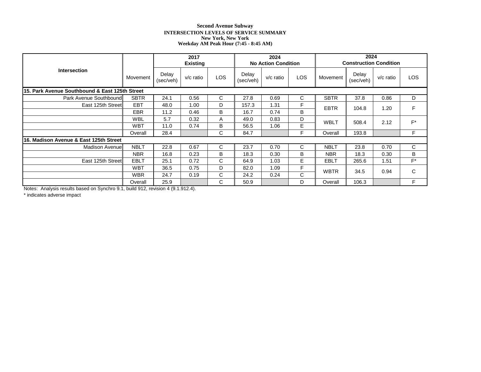# **Second Avenue Subway INTERSECTION LEVELS OF SERVICE SUMMARY New York, New York Weekday AM Peak Hour (7:45 - 8:45 AM)**

|                                                |             | 2017<br><b>Existing</b> |             |            |                    | 2024<br><b>No Action Condition</b> |            |             | 2024<br><b>Construction Condition</b> |           |       |  |
|------------------------------------------------|-------------|-------------------------|-------------|------------|--------------------|------------------------------------|------------|-------------|---------------------------------------|-----------|-------|--|
| <b>Intersection</b>                            | Movement    | Delay<br>(sec/veh)      | $v/c$ ratio | <b>LOS</b> | Delay<br>(sec/veh) | $v/c$ ratio                        | <b>LOS</b> | Movement    | Delay<br>(sec/veh)                    | v/c ratio | LOS   |  |
| 15. Park Avenue Southbound & East 125th Street |             |                         |             |            |                    |                                    |            |             |                                       |           |       |  |
| Park Avenue Southbound                         | <b>SBTR</b> | 24.1                    | 0.56        | C          | 27.8               | 0.69                               | С          | <b>SBTR</b> | 37.8                                  | 0.86      | D     |  |
| East 125th Street                              | <b>EBT</b>  | 48.0                    | 1.00        | D          | 157.3              | 1.31                               | F          | <b>EBTR</b> | 104.8                                 | 1.20      | F     |  |
|                                                | EBR         | 11.2                    | 0.46        | B          | 16.7               | 0.74                               | B          |             |                                       |           |       |  |
|                                                | <b>WBL</b>  | 5.7                     | 0.32        | A          | 49.0               | 0.83                               | D          | <b>WBLT</b> | 508.4                                 | 2.12      | $F^*$ |  |
|                                                | <b>WBT</b>  | 11.0                    | 0.74        | B          | 56.5               | 1.06                               | E          |             |                                       |           |       |  |
|                                                | Overall     | 28.4                    |             | C          | 84.7               |                                    | F          | Overall     | 193.8                                 |           | F     |  |
| 16. Madison Avenue & East 125th Street         |             |                         |             |            |                    |                                    |            |             |                                       |           |       |  |
| <b>Madison Avenuel</b>                         | <b>NBLT</b> | 22.8                    | 0.67        | C          | 23.7               | 0.70                               | C          | <b>NBLT</b> | 23.8                                  | 0.70      | C     |  |
|                                                | <b>NBR</b>  | 16.8                    | 0.23        | B          | 18.3               | 0.30                               | B          | <b>NBR</b>  | 18.3                                  | 0.30      | B     |  |
| East 125th Street                              | <b>EBLT</b> | 25.1                    | 0.72        | C          | 64.9               | 1.03                               | Е          | <b>EBLT</b> | 265.6                                 | 1.51      | $F^*$ |  |
|                                                | <b>WBT</b>  | 36.5                    | 0.75        | D          | 82.0               | 1.09                               | F          | <b>WBTR</b> | 34.5                                  | 0.94      |       |  |
|                                                | <b>WBR</b>  | 24.7                    | 0.19        | C          | 24.2               | 0.24                               | C          |             |                                       |           | C     |  |
|                                                | Overall     | 25.9                    |             | C          | 50.9               |                                    | D          | Overall     | 106.3                                 |           | F.    |  |

Notes: Analysis results based on Synchro 9.1, build 912, revision 4 (9.1.912.4).

\* indicates adverse impact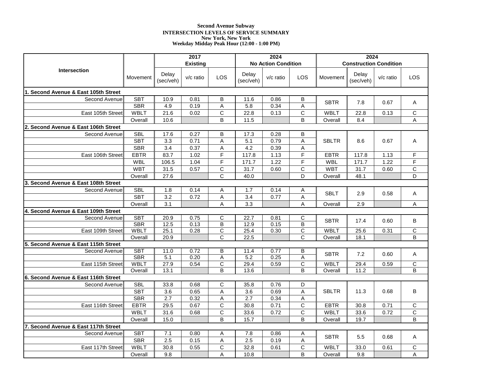# **Second Avenue Subway INTERSECTION LEVELS OF SERVICE SUMMARY New York, New York Weekday Midday Peak Hour (12:00 - 1:00 PM)**

|                                      |             |                    | 2017            |                           |                    | 2024                       |                         |              | 2024                          |             |                       |  |
|--------------------------------------|-------------|--------------------|-----------------|---------------------------|--------------------|----------------------------|-------------------------|--------------|-------------------------------|-------------|-----------------------|--|
|                                      |             |                    | <b>Existing</b> |                           |                    | <b>No Action Condition</b> |                         |              | <b>Construction Condition</b> |             |                       |  |
| <b>Intersection</b>                  | Movement    | Delay<br>(sec/veh) | v/c ratio       | LOS                       | Delay<br>(sec/veh) | $v/c$ ratio                | LOS                     | Movement     | Delay<br>(sec/veh)            | $v/c$ ratio | <b>LOS</b>            |  |
| 1. Second Avenue & East 105th Street |             |                    |                 |                           |                    |                            |                         |              |                               |             |                       |  |
| Second Avenue                        | <b>SBT</b>  | 10.9               | 0.81            | B                         | 11.6               | 0.86                       | B                       | <b>SBTR</b>  | 7.8                           | 0.67        |                       |  |
|                                      | <b>SBR</b>  | 4.9                | 0.19            | A                         | 5.8                | 0.34                       | A                       |              |                               |             | A                     |  |
| East 105th Street                    | <b>WBLT</b> | 21.6               | 0.02            | $\mathsf C$               | 22.8               | 0.13                       | $\mathsf C$             | <b>WBLT</b>  | 22.8                          | 0.13        | C                     |  |
|                                      | Overall     | 10.6               |                 | B                         | 11.5               |                            | B                       | Overall      | 8.4                           |             | Α                     |  |
| 2. Second Avenue & East 106th Street |             |                    |                 |                           |                    |                            |                         |              |                               |             |                       |  |
| Second Avenue                        | <b>SBL</b>  | $17.\overline{6}$  | 0.27            | В                         | 17.3               | 0.28                       | B                       |              |                               |             |                       |  |
|                                      | <b>SBT</b>  | 3.3                | 0.71            | $\boldsymbol{\mathsf{A}}$ | 5.1                | 0.79                       | A                       | <b>SBLTR</b> | 8.6                           | 0.67        | Α                     |  |
|                                      | SBR         | 3.4                | 0.37            | Α                         | 4.2                | 0.39                       | Α                       |              |                               |             |                       |  |
| East 106th Street                    | <b>EBTR</b> | 83.7               | 1.02            | F                         | 117.8              | 1.13                       | F                       | <b>EBTR</b>  | 117.8                         | 1.13        | F                     |  |
|                                      | <b>WBL</b>  | 106.5              | 1.04            | F                         | 171.7              | 1.22                       | F                       | <b>WBL</b>   | 171.7                         | 1.22        | F                     |  |
|                                      | <b>WBT</b>  | 31.5               | 0.57            | $\mathsf C$               | 31.7               | 0.60                       | $\mathsf{C}$            | <b>WBT</b>   | 31.7                          | 0.60        | C                     |  |
|                                      | Overall     | 27.6               |                 | $\overline{\text{c}}$     | 40.0               |                            | D                       | Overall      | 48.1                          |             | D                     |  |
| 3. Second Avenue & East 108th Street |             |                    |                 |                           |                    |                            |                         |              |                               |             |                       |  |
| Second Avenue                        | <b>SBL</b>  | 1.8                | 0.14            | Α                         | 1.7                | 0.14                       | Α                       | <b>SBLT</b>  | 2.9                           | 0.58        | Α                     |  |
|                                      | <b>SBT</b>  | 3.2                | 0.72            | A                         | 3.4                | 0.77                       | A                       |              |                               |             |                       |  |
|                                      | Overall     | $\overline{3.1}$   |                 | Α                         | $\overline{3.3}$   |                            | A                       | Overall      | 2.9                           |             | Α                     |  |
| 4. Second Avenue & East 109th Street |             |                    |                 |                           |                    |                            |                         |              |                               |             |                       |  |
| Second Avenue                        | <b>SBT</b>  | 20.9               | 0.75            | C                         | 22.7               | 0.81                       | $\overline{C}$          | <b>SBTR</b>  | 17.4                          | 0.60        | B                     |  |
|                                      | <b>SBR</b>  | 12.5               | 0.13            | $\overline{\mathsf{B}}$   | 12.9               | 0.15                       | $\overline{\mathsf{B}}$ |              |                               |             |                       |  |
| East 109th Street                    | <b>WBLT</b> | 25.1               | 0.28            | $\overline{\text{c}}$     | 25.4               | 0.30                       | $\overline{\text{c}}$   | WBLT         | 25.6                          | 0.31        | $\overline{C}$        |  |
|                                      | Overall     | 20.9               |                 | C                         | 22.5               |                            | $\overline{\text{c}}$   | Overall      | 18.1                          |             | B                     |  |
| 5. Second Avenue & East 115th Street | <b>SBT</b>  | 11.0               | 0.72            | B                         | 11.4               | 0.77                       |                         |              |                               |             |                       |  |
| Second Avenue                        | <b>SBR</b>  | 5.1                | 0.20            | $\overline{A}$            | 5.2                | 0.25                       | В<br>Ā                  | <b>SBTR</b>  | 7.2                           | 0.60        | Α                     |  |
| East 115th Street                    | <b>WBLT</b> | 27.9               | 0.54            | $\overline{\mathsf{C}}$   | 29.4               | 0.59                       | $\overline{\text{c}}$   | WBLT         | 29.4                          | 0.59        | C                     |  |
|                                      | Overall     | 13.1               |                 | B                         | 13.6               |                            | B                       | Overall      | 11.2                          |             | B                     |  |
| 6. Second Avenue & East 116th Street |             |                    |                 |                           |                    |                            |                         |              |                               |             |                       |  |
| Second Avenue                        | <b>SBL</b>  | 33.8               | 0.68            | $\mathsf C$               | 35.8               | 0.76                       | D                       |              |                               |             |                       |  |
|                                      | <b>SBT</b>  | 3.6                | 0.65            | Α                         | 3.6                | 0.69                       | A                       | <b>SBLTR</b> | 11.3                          | 0.68        | В                     |  |
|                                      | <b>SBR</b>  | 2.7                | 0.32            | Α                         | 2.7                | 0.34                       | A                       |              |                               |             |                       |  |
| East 116th Street                    | <b>EBTR</b> | 29.5               | 0.67            | $\mathsf{C}$              | 30.8               | 0.71                       | $\overline{\text{c}}$   | <b>EBTR</b>  | 30.8                          | 0.71        | C                     |  |
|                                      | <b>WBLT</b> | 31.6               | 0.68            | $\mathsf C$               | 33.6               | 0.72                       | $\mathsf C$             | <b>WBLT</b>  | 33.6                          | 0.72        | $\overline{\text{c}}$ |  |
|                                      | Overall     | 15.0               |                 | B                         | 15.7               |                            | B                       | Overall      | 19.7                          |             | B                     |  |
| 7. Second Avenue & East 117th Street |             |                    |                 |                           |                    |                            |                         |              |                               |             |                       |  |
| Second Avenue                        | <b>SBT</b>  | 7.1                | 0.80            | Α                         | 7.8                | 0.86                       | Α                       |              |                               |             |                       |  |
|                                      | <b>SBR</b>  | 2.5                | 0.15            | Α                         | 2.5                | 0.19                       | A                       | <b>SBTR</b>  | 5.5                           | 0.68        | Α                     |  |
| East 117th Street                    | <b>WBLT</b> | 30.8               | 0.55            | C                         | 32.8               | 0.61                       | $\mathsf{C}$            | <b>WBLT</b>  | 33.0                          | 0.61        | C                     |  |
|                                      | Overall     | 9.8                |                 | Α                         | 10.8               |                            | B                       | Overall      | 9.8                           |             | A                     |  |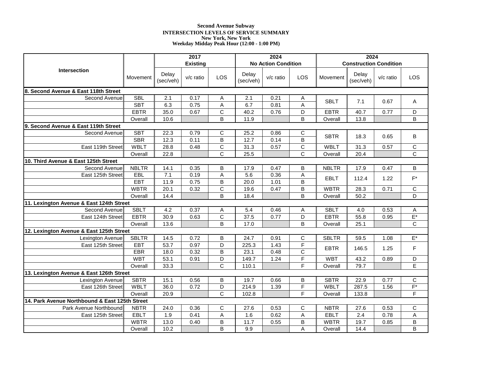# **Second Avenue Subway INTERSECTION LEVELS OF SERVICE SUMMARY New York, New York Weekday Midday Peak Hour (12:00 - 1:00 PM)**

|                                                |              |                    | 2017            |                     |                    | 2024                       |                       |                            | 2024                          |              |                    |  |
|------------------------------------------------|--------------|--------------------|-----------------|---------------------|--------------------|----------------------------|-----------------------|----------------------------|-------------------------------|--------------|--------------------|--|
|                                                |              |                    | <b>Existing</b> |                     |                    | <b>No Action Condition</b> |                       |                            | <b>Construction Condition</b> |              |                    |  |
| <b>Intersection</b>                            | Movement     | Delay<br>(sec/veh) | $v/c$ ratio     | LOS                 | Delay<br>(sec/veh) | v/c ratio                  | LOS                   | Movement                   | Delay<br>(sec/veh)            | v/c ratio    | <b>LOS</b>         |  |
| 8. Second Avenue & East 118th Street           |              |                    |                 |                     |                    |                            |                       |                            |                               |              |                    |  |
| Second Avenue                                  | <b>SBL</b>   | 2.1                | 0.17            | Α                   | 2.1                | 0.21                       | Α                     | <b>SBLT</b>                | 7.1                           | 0.67         | Α                  |  |
|                                                | <b>SBT</b>   | 6.3                | 0.75            | $\mathsf A$         | 6.7                | 0.81                       | A                     |                            |                               |              |                    |  |
|                                                | <b>EBTR</b>  | 35.0               | 0.67            | $\overline{C}$      | 40.2               | 0.76                       | D                     | <b>EBTR</b>                | 40.7                          | 0.77         | D                  |  |
|                                                | Overall      | 10.6               |                 | B                   | 11.9               |                            | B                     | Overall                    | 13.8                          |              | B                  |  |
| 9. Second Avenue & East 119th Street           |              |                    |                 |                     |                    |                            |                       |                            |                               |              |                    |  |
| Second Avenue                                  | <b>SBT</b>   | 22.3               | 0.79            | $\mathsf{C}$        | 25.2               | 0.86                       | C                     | <b>SBTR</b>                | 18.3                          | 0.65         | В                  |  |
|                                                | <b>SBR</b>   | 12.3               | 0.11            | B                   | 12.7               | 0.14                       | $\overline{B}$        |                            |                               |              |                    |  |
| East 119th Street                              | <b>WBLT</b>  | 28.8               | 0.48            | $\mathsf C$         | 31.3               | 0.57                       | $\mathsf C$           | <b>WBLT</b>                | 31.3                          | 0.57         | С                  |  |
|                                                | Overall      | 22.8               |                 | $\mathsf{C}$        | 25.5               |                            | $\overline{\text{c}}$ | Overall                    | 20.4                          |              | C                  |  |
| 10. Third Avenue & East 125th Street           |              |                    |                 |                     |                    |                            |                       |                            |                               |              |                    |  |
| Second Avenue                                  | <b>NBLTR</b> | 14.1               | 0.35            | B                   | 17.9               | 0.47                       | B                     | <b>NBLTR</b>               | 17.9                          | 0.47         | B                  |  |
| East 125th Street                              | EBL          | 7.1                | 0.19            | A                   | 5.6                | 0.36                       | A                     | <b>EBLT</b>                | 112.4                         | 1.22         | $\mathsf{F}^\star$ |  |
|                                                | <b>EBT</b>   | 11.9               | 0.75            | B                   | 20.0               | 1.01                       | B                     |                            |                               |              |                    |  |
|                                                | <b>WBTR</b>  | 20.1               | 0.32            | $\mathsf C$         | 19.6               | 0.47                       | B                     | <b>WBTR</b>                | 28.3                          | 0.71         | $\mathsf C$        |  |
|                                                | Overall      | 14.4               |                 | B                   | 18.4               |                            | $\overline{B}$        | Overall                    | 50.2                          |              | D                  |  |
| 11. Lexington Avenue & East 124th Street       | <b>SBLT</b>  |                    |                 |                     |                    |                            |                       |                            |                               |              |                    |  |
| Second Avenue<br>East 124th Street             | <b>EBTR</b>  | 4.2<br>30.9        | 0.37<br>0.63    | Α<br>$\overline{c}$ | 5.4<br>37.5        | 0.46<br>0.77               | Α<br>$\overline{D}$   | <b>SBLT</b><br><b>EBTR</b> | 4.0<br>55.8                   | 0.53<br>0.95 | А<br>$E^*$         |  |
|                                                |              | 13.6               |                 | B                   | 17.0               |                            | B                     |                            | 25.1                          |              | C                  |  |
| 12. Lexington Avenue & East 125th Street       | Overall      |                    |                 |                     |                    |                            |                       | Overall                    |                               |              |                    |  |
| Lexington Avenue                               | <b>SBLTR</b> | 14.5               | 0.72            | B                   | 24.7               | 0.91                       | C                     | <b>SBLTR</b>               | 59.5                          | 1.08         | $E^*$              |  |
| East 125th Street                              | <b>EBT</b>   | 53.7               | 0.97            | $\mathsf D$         | 225.3              | 1.43                       | F                     |                            |                               |              |                    |  |
|                                                | EBR          | 18.0               | 0.32            | B                   | 23.1               | 0.48                       | $\overline{C}$        | <b>EBTR</b>                | 146.5                         | 1.25         | F                  |  |
|                                                | <b>WBT</b>   | 53.1               | 0.91            | D                   | 149.7              | 1.24                       | $\overline{F}$        | <b>WBT</b>                 | 43.2                          | 0.89         | D                  |  |
|                                                | Overall      | 33.3               |                 | $\mathsf{C}$        | 110.1              |                            | F                     | Overall                    | 79.7                          |              | E                  |  |
| 13. Lexington Avenue & East 126th Street       |              |                    |                 |                     |                    |                            |                       |                            |                               |              |                    |  |
| Lexington Avenue                               | <b>SBTR</b>  | 15.1               | 0.56            | B                   | 19.7               | 0.66                       | B                     | <b>SBTR</b>                | 22.9                          | 0.77         | $\overline{C}$     |  |
| East 126th Street                              | <b>WBLT</b>  | 36.0               | 0.72            | D                   | 214.9              | 1.39                       | F                     | <b>WBLT</b>                | 287.5                         | 1.56         | $F^*$              |  |
|                                                | Overall      | 20.9               |                 | $\mathsf{C}$        | 102.8              |                            | F                     | Overall                    | 133.8                         |              | F                  |  |
| 14. Park Avenue Northbound & East 125th Street |              |                    |                 |                     |                    |                            |                       |                            |                               |              |                    |  |
| Park Avenue Northbound                         | <b>NBTR</b>  | 24.0               | 0.36            | $\mathsf C$         | 27.6               | 0.53                       | $\mathsf C$           | <b>NBTR</b>                | 27.6                          | 0.53         | $\mathsf C$        |  |
| East 125th Street                              | <b>EBLT</b>  | 1.9                | 0.41            | $\mathsf A$         | 1.6                | 0.62                       | $\overline{A}$        | <b>EBLT</b>                | 2.4                           | 0.78         | $\overline{A}$     |  |
|                                                | <b>WBTR</b>  | 13.0               | 0.40            | B                   | 11.7               | 0.55                       | B                     | <b>WBTR</b>                | 19.7                          | 0.85         | B                  |  |
|                                                | Overall      | 10.2               |                 | B                   | 9.9                |                            | A                     | Overall                    | 14.4                          |              | B                  |  |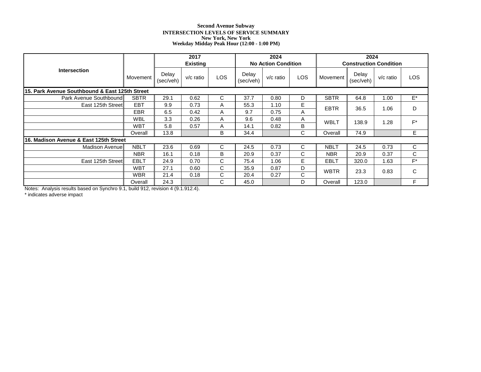# **Second Avenue Subway INTERSECTION LEVELS OF SERVICE SUMMARY New York, New York Weekday Midday Peak Hour (12:00 - 1:00 PM)**

|                                                |             | 2017<br><b>Existing</b> |             |              |                    | 2024<br><b>No Action Condition</b> |            | 2024<br><b>Construction Condition</b> |                    |             |       |
|------------------------------------------------|-------------|-------------------------|-------------|--------------|--------------------|------------------------------------|------------|---------------------------------------|--------------------|-------------|-------|
| <b>Intersection</b>                            | Movement    | Delay<br>(sec/veh)      | $v/c$ ratio | <b>LOS</b>   | Delay<br>(sec/veh) | $v/c$ ratio                        | <b>LOS</b> | Movement                              | Delay<br>(sec/veh) | $v/c$ ratio | LOS   |
| 15. Park Avenue Southbound & East 125th Street |             |                         |             |              |                    |                                    |            |                                       |                    |             |       |
| Park Avenue Southbound                         | <b>SBTR</b> | 29.1                    | 0.62        | C            | 37.7               | 0.80                               | D          | <b>SBTR</b>                           | 64.8               | 1.00        | E*    |
| East 125th Street                              | <b>EBT</b>  | 9.9                     | 0.73        | A            | 55.3               | 1.10                               | Е          | <b>EBTR</b>                           | 36.5               | 1.06        | D     |
|                                                | EBR         | 6.5                     | 0.42        | A            | 9.7                | 0.75                               | Α          |                                       |                    |             |       |
|                                                | <b>WBL</b>  | 3.3                     | 0.26        | A            | 9.6                | 0.48                               | Α          | <b>WBLT</b>                           | 138.9              | 1.28        | $F^*$ |
|                                                | <b>WBT</b>  | 5.8                     | 0.57        | A            | 14.1               | 0.82                               | B          |                                       |                    |             |       |
|                                                | Overall     | 13.8                    |             | B            | 34.4               |                                    | C          | Overall                               | 74.9               |             | E.    |
| 16. Madison Avenue & East 125th Street         |             |                         |             |              |                    |                                    |            |                                       |                    |             |       |
| <b>Madison Avenuel</b>                         | <b>NBLT</b> | 23.6                    | 0.69        | C            | 24.5               | 0.73                               | C          | <b>NBLT</b>                           | 24.5               | 0.73        | C     |
|                                                | <b>NBR</b>  | 16.1                    | 0.18        | B            | 20.9               | 0.37                               | С          | <b>NBR</b>                            | 20.9               | 0.37        | C.    |
| East 125th Street                              | <b>EBLT</b> | 24.9                    | 0.70        | $\mathsf{C}$ | 75.4               | 1.06                               | E          | <b>EBLT</b>                           | 320.0              | 1.63        | $F^*$ |
|                                                | <b>WBT</b>  | 27.1                    | 0.60        | C            | 35.9               | 0.87                               | D          |                                       | 23.3               | 0.83        | C     |
|                                                | <b>WBR</b>  | 21.4                    | 0.18        | C            | 20.4               | 0.27                               | C          | <b>WBTR</b>                           |                    |             |       |
|                                                | Overall     | 24.3                    |             | C            | 45.0               |                                    | D          | Overall                               | 123.0              |             | F     |

Notes: Analysis results based on Synchro 9.1, build 912, revision 4 (9.1.912.4).

\* indicates adverse impact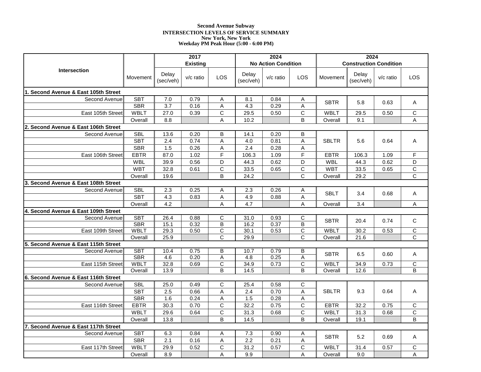# **Second Avenue Subway INTERSECTION LEVELS OF SERVICE SUMMARY New York, New York Weekday PM Peak Hour (5:00 - 6:00 PM)**

|                                      |                          |                    | 2017            |                              |                    | 2024                       |                              | 2024         |                               |             |                       |
|--------------------------------------|--------------------------|--------------------|-----------------|------------------------------|--------------------|----------------------------|------------------------------|--------------|-------------------------------|-------------|-----------------------|
|                                      |                          |                    | <b>Existing</b> |                              |                    | <b>No Action Condition</b> |                              |              | <b>Construction Condition</b> |             |                       |
| <b>Intersection</b>                  | Movement                 | Delay<br>(sec/veh) | v/c ratio       | LOS                          | Delay<br>(sec/veh) | $v/c$ ratio                | LOS                          | Movement     | Delay<br>(sec/veh)            | $v/c$ ratio | LOS                   |
| 1. Second Avenue & East 105th Street |                          |                    |                 |                              |                    |                            |                              |              |                               |             |                       |
| Second Avenue                        | <b>SBT</b>               | 7.0                | 0.79            | Α                            | 8.1                | 0.84                       | Α                            | <b>SBTR</b>  |                               | 0.63        |                       |
|                                      | <b>SBR</b>               | $\overline{3.7}$   | 0.16            | $\overline{A}$               | $\overline{4.3}$   | 0.29                       | $\overline{A}$               |              | 5.8                           |             | A                     |
| East 105th Street                    | <b>WBLT</b>              | 27.0               | 0.39            | $\mathsf{C}$                 | 29.5               | 0.50                       | $\mathsf{C}$                 | <b>WBLT</b>  | 29.5                          | 0.50        | C                     |
|                                      | Overall                  | 8.8                |                 | Α                            | 10.2               |                            | B                            | Overall      | 9.1                           |             | Α                     |
| 2. Second Avenue & East 106th Street |                          |                    |                 |                              |                    |                            |                              |              |                               |             |                       |
| Second Avenue                        | <b>SBL</b>               | 13.6               | 0.20            | B                            | 14.1               | 0.20                       | B                            |              |                               |             |                       |
|                                      | <b>SBT</b>               | 2.4                | 0.74            | $\boldsymbol{\mathsf{A}}$    | 4.0                | 0.81                       | A                            | <b>SBLTR</b> | 5.6                           | 0.64        | Α                     |
|                                      | <b>SBR</b>               | 1.5                | 0.26            | A                            | 2.4                | 0.28                       | A                            |              |                               |             |                       |
| East 106th Street                    | <b>EBTR</b>              | 87.0               | 1.02            | F                            | 106.3              | 1.09                       | F                            | <b>EBTR</b>  | 106.3                         | 1.09        | F                     |
|                                      | <b>WBL</b>               | 39.9               | 0.56            | D                            | 44.3               | 0.62                       | D                            | <b>WBL</b>   | 44.3                          | 0.62        | D                     |
|                                      | <b>WBT</b>               | 32.8               | 0.61            | $\mathsf C$                  | 33.5               | 0.65                       | $\mathsf{C}$                 | <b>WBT</b>   | 33.5                          | 0.65        | $\overline{C}$        |
|                                      | Overall                  | 19.6               |                 | $\overline{B}$               | 24.2               |                            | $\overline{\text{c}}$        | Overall      | 29.2                          |             | $\overline{\text{c}}$ |
| 3. Second Avenue & East 108th Street |                          |                    |                 |                              |                    |                            |                              |              |                               |             |                       |
| Second Avenue                        | <b>SBL</b>               | 2.3                | 0.25            | Α                            | 2.3                | 0.26                       | Α                            | <b>SBLT</b>  | 3.4                           | 0.68        | Α                     |
|                                      | <b>SBT</b>               | 4.3                | 0.83            | A                            | 4.9                | 0.88                       | A                            |              |                               |             |                       |
|                                      | Overall                  | 4.2                |                 | $\boldsymbol{\mathsf{A}}$    | 4.7                |                            | A                            | Overall      | 3.4                           |             | Α                     |
| 4. Second Avenue & East 109th Street |                          |                    |                 |                              |                    |                            |                              |              |                               |             |                       |
| Second Avenue                        | <b>SBT</b><br><b>SBR</b> | 26.4<br>15.1       | 0.88<br>0.32    | C<br>$\overline{\mathsf{B}}$ | 31.0<br>16.2       | 0.93<br>0.37               | C<br>$\overline{\mathsf{B}}$ | <b>SBTR</b>  | 20.4                          | 0.74        | C                     |
| East 109th Street                    | <b>WBLT</b>              | 29.3               | 0.50            | $\overline{C}$               | 30.1               | 0.53                       | $\overline{\text{c}}$        | <b>WBLT</b>  | 30.2                          | 0.53        | $\overline{C}$        |
|                                      | Overall                  | 25.9               |                 | $\mathsf{C}$                 | 29.9               |                            | $\overline{\text{c}}$        | Overall      | 21.6                          |             | $\overline{\text{c}}$ |
| 5. Second Avenue & East 115th Street |                          |                    |                 |                              |                    |                            |                              |              |                               |             |                       |
| Second Avenue                        | <b>SBT</b>               | 10.4               | 0.75            | $\overline{B}$               | 10.7               | 0.79                       | $\overline{B}$               |              |                               |             |                       |
|                                      | <b>SBR</b>               | 4.6                | 0.20            | $\overline{A}$               | 4.8                | 0.25                       | $\overline{A}$               | <b>SBTR</b>  | 6.5                           | 0.60        | Α                     |
| East 115th Street                    | <b>WBLT</b>              | 32.8               | 0.69            | $\overline{c}$               | 34.9               | 0.73                       | $\overline{\text{c}}$        | WBLT         | 34.9                          | 0.73        | $\overline{C}$        |
|                                      | Overall                  | 13.9               |                 | B                            | 14.5               |                            | $\overline{B}$               | Overall      | 12.6                          |             | $\overline{B}$        |
| 6. Second Avenue & East 116th Street |                          |                    |                 |                              |                    |                            |                              |              |                               |             |                       |
| Second Avenue                        | <b>SBL</b>               | 25.0               | 0.49            | $\mathsf C$                  | 25.4               | 0.58                       | $\mathsf{C}$                 |              |                               |             |                       |
|                                      | <b>SBT</b>               | 2.5                | 0.66            | A                            | $\overline{2.4}$   | 0.70                       | A                            | <b>SBLTR</b> | 9.3                           | 0.64        | Α                     |
|                                      | <b>SBR</b>               | 1.6                | 0.24            | Α                            | 1.5                | 0.28                       | Α                            |              |                               |             |                       |
| East 116th Street                    | <b>EBTR</b>              | 30.3               | 0.70            | $\overline{c}$               | 32.2               | 0.75                       | $\overline{c}$               | <b>EBTR</b>  | 32.2                          | 0.75        | C                     |
|                                      | <b>WBLT</b>              | 29.6               | 0.64            | $\overline{C}$               | 31.3               | 0.68                       | $\overline{C}$               | <b>WBLT</b>  | 31.3                          | 0.68        | $\overline{\text{c}}$ |
|                                      | Overall                  | 13.8               |                 | B                            | 14.5               |                            | $\overline{B}$               | Overall      | 19.1                          |             | $\overline{B}$        |
| 7. Second Avenue & East 117th Street |                          |                    |                 |                              |                    |                            |                              |              |                               |             |                       |
| Second Avenue                        | <b>SBT</b>               | 6.3                | 0.84            | A                            | 7.3                | 0.90                       | Α                            | <b>SBTR</b>  | 5.2                           | 0.69        | Α                     |
|                                      | <b>SBR</b>               | 2.1                | 0.16            | A                            | $\overline{2.2}$   | 0.21                       | A                            |              |                               |             |                       |
| East 117th Street                    | <b>WBLT</b>              | 29.9               | 0.52            | $\mathsf C$                  | 31.2               | 0.57                       | $\mathsf{C}$                 | <b>WBLT</b>  | 31.4                          | 0.57        | C                     |
|                                      | Overall                  | 8.9                |                 | A                            | 9.9                |                            | A                            | Overall      | 9.0                           |             | A                     |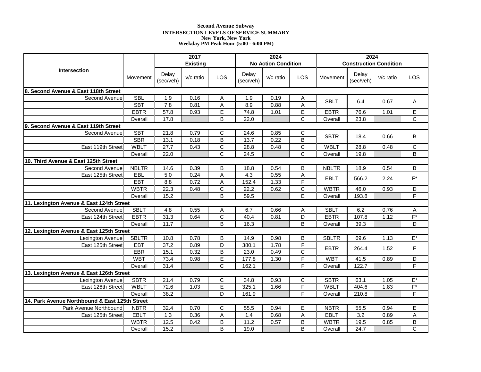# **Second Avenue Subway INTERSECTION LEVELS OF SERVICE SUMMARY New York, New York Weekday PM Peak Hour (5:00 - 6:00 PM)**

|                                                |              |                    | 2017            |                       |                    | 2024                       |                       |              | 2024                          |           |                       |  |
|------------------------------------------------|--------------|--------------------|-----------------|-----------------------|--------------------|----------------------------|-----------------------|--------------|-------------------------------|-----------|-----------------------|--|
|                                                |              |                    | <b>Existing</b> |                       |                    | <b>No Action Condition</b> |                       |              | <b>Construction Condition</b> |           |                       |  |
| <b>Intersection</b>                            | Movement     | Delay<br>(sec/veh) | $v/c$ ratio     | LOS                   | Delay<br>(sec/veh) | v/c ratio                  | LOS                   | Movement     | Delay<br>(sec/veh)            | v/c ratio | <b>LOS</b>            |  |
| 8. Second Avenue & East 118th Street           |              |                    |                 |                       |                    |                            |                       |              |                               |           |                       |  |
| Second Avenue                                  | <b>SBL</b>   | 1.9                | 0.16            | Α                     | 1.9                | 0.19                       | Α                     | <b>SBLT</b>  | 6.4                           | 0.67      | Α                     |  |
|                                                | <b>SBT</b>   | 7.8                | 0.81            | $\mathsf A$           | 8.9                | 0.88                       | A                     |              |                               |           |                       |  |
|                                                | <b>EBTR</b>  | 57.8               | 0.93            | E                     | 74.8               | 1.01                       | E                     | <b>EBTR</b>  | 76.6                          | 1.01      | E                     |  |
|                                                | Overall      | 17.8               |                 | B                     | 22.0               |                            | $\overline{\text{c}}$ | Overall      | 23.8                          |           | $\overline{\text{c}}$ |  |
| 9. Second Avenue & East 119th Street           |              |                    |                 |                       |                    |                            |                       |              |                               |           |                       |  |
| Second Avenue                                  | <b>SBT</b>   | 21.8               | 0.79            | С                     | 24.6               | 0.85                       | С                     | <b>SBTR</b>  | 18.4                          | 0.66      | В                     |  |
|                                                | <b>SBR</b>   | 13.1               | 0.18            | B                     | 13.7               | 0.22                       | $\overline{B}$        |              |                               |           |                       |  |
| East 119th Street                              | <b>WBLT</b>  | 27.7               | 0.43            | $\overline{C}$        | 28.8               | 0.48                       | $\overline{C}$        | <b>WBLT</b>  | 28.8                          | 0.48      | $\mathsf C$           |  |
|                                                | Overall      | 22.0               |                 | C                     | 24.5               |                            | $\overline{\text{c}}$ | Overall      | 19.8                          |           | B                     |  |
| 10. Third Avenue & East 125th Street           |              |                    |                 |                       |                    |                            |                       |              |                               |           |                       |  |
| Second Avenue                                  | <b>NBLTR</b> | 14.6               | 0.39            | B                     | 18.8               | 0.54                       | B                     | <b>NBLTR</b> | 18.9                          | 0.54      | B                     |  |
| East 125th Street                              | EBL          | $5.0$              | 0.24            | Α                     | 4.3                | 0.55                       | A                     | <b>EBLT</b>  | 566.2                         | 2.24      | $F^*$                 |  |
|                                                | EBT          | 8.8                | 0.72            | A                     | 152.4              | 1.33                       | F                     |              |                               |           |                       |  |
|                                                | <b>WBTR</b>  | 22.3               | 0.48            | $\overline{C}$        | 22.2               | 0.62                       | $\overline{C}$        | <b>WBTR</b>  | 46.0                          | 0.93      | D                     |  |
|                                                | Overall      | 15.2               |                 | B                     | 59.5               |                            | E                     | Overall      | 193.8                         |           | F                     |  |
| 11. Lexington Avenue & East 124th Street       |              |                    |                 |                       |                    |                            |                       |              |                               |           |                       |  |
| Second Avenue                                  | <b>SBLT</b>  | 4.8                | 0.55            | A                     | 6.7                | 0.66                       | A                     | <b>SBLT</b>  | 6.2                           | 0.76      | Α                     |  |
| East 124th Street                              | <b>EBTR</b>  | 31.3               | 0.64            | $\overline{\text{c}}$ | 40.4               | 0.81                       | $\overline{D}$        | <b>EBTR</b>  | 107.8                         | 1.12      | $F^*$                 |  |
|                                                | Overall      | 11.7               |                 | B                     | 16.3               |                            | B                     | Overall      | 39.3                          |           | D                     |  |
| 12. Lexington Avenue & East 125th Street       |              |                    |                 |                       |                    |                            |                       |              |                               |           |                       |  |
| Lexington Avenue                               | <b>SBLTR</b> | 10.8               | 0.78            | B                     | 14.9               | 0.98                       | В                     | <b>SBLTR</b> | 69.6                          | 1.13      | $E^*$                 |  |
| East 125th Street                              | <b>EBT</b>   | 37.2               | 0.89            | D                     | 380.1              | 1.78                       | F                     | <b>EBTR</b>  | 264.4                         | 1.52      | F                     |  |
|                                                | EBR          | 15.1               | 0.32            | B                     | 23.0               | 0.49                       | $\mathsf{C}$          |              |                               |           |                       |  |
|                                                | <b>WBT</b>   | 73.4               | 0.98            | $\overline{E}$        | 177.8              | 1.30                       | F                     | <b>WBT</b>   | 41.5                          | 0.89      | D                     |  |
|                                                | Overall      | 31.4               |                 | $\overline{c}$        | 162.1              |                            | F                     | Overall      | 122.7                         |           | F                     |  |
| 13. Lexington Avenue & East 126th Street       |              |                    |                 |                       |                    |                            |                       |              |                               |           |                       |  |
| Lexington Avenue                               | <b>SBTR</b>  | 21.4               | 0.79            | $\mathsf C$           | 34.8               | 0.93                       | $\mathsf C$           | <b>SBTR</b>  | 63.1                          | 1.05      | $E^*$                 |  |
| East 126th Street                              | <b>WBLT</b>  | 72.6               | 1.03            | E                     | 325.1              | 1.66                       | F                     | <b>WBLT</b>  | 404.6                         | 1.83      | $F^*$                 |  |
|                                                | Overall      | 38.2               |                 | D                     | 161.9              |                            | F                     | Overall      | 210.8                         |           | F                     |  |
| 14. Park Avenue Northbound & East 125th Street |              |                    |                 |                       |                    |                            |                       |              |                               |           |                       |  |
| Park Avenue Northbound                         | <b>NBTR</b>  | 32.4               | 0.70            | C                     | 55.5               | 0.94                       | Е                     | <b>NBTR</b>  | 55.5                          | 0.94      | Е                     |  |
| East 125th Street                              | <b>EBLT</b>  | 1.3                | 0.36            | $\mathsf A$           | 1.4                | 0.68                       | $\overline{A}$        | <b>EBLT</b>  | 3.2                           | 0.89      | A                     |  |
|                                                | <b>WBTR</b>  | 12.5               | 0.42            | B                     | 11.2               | 0.57                       | $\overline{B}$        | <b>WBTR</b>  | 19.5                          | 0.85      | B                     |  |
|                                                | Overall      | 15.2               |                 | B                     | 19.0               |                            | B                     | Overall      | 24.7                          |           | C                     |  |